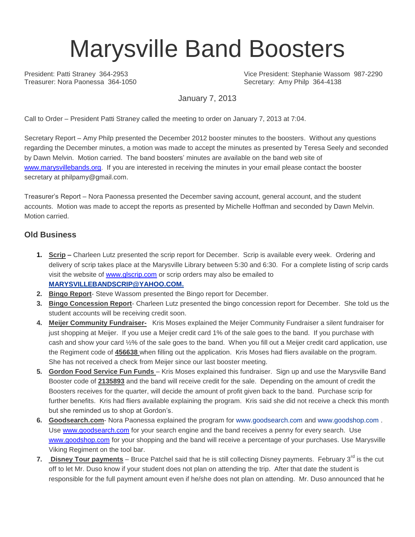## Marysville Band Boosters

President: Patti Straney 364-2953 Vice President: Stephanie Wassom 987-2290 Secretary: Amy Philp 364-4138

January 7, 2013

Call to Order – President Patti Straney called the meeting to order on January 7, 2013 at 7:04.

Secretary Report – Amy Philp presented the December 2012 booster minutes to the boosters. Without any questions regarding the December minutes, a motion was made to accept the minutes as presented by Teresa Seely and seconded by Dawn Melvin. Motion carried. The band boosters' minutes are available on the band web site of [www.marysvillebands.org.](http://www.marysvillebands.org/) If you are interested in receiving the minutes in your email please contact the booster secretary at philpamy@gmail.com.

Treasurer's Report – Nora Paonessa presented the December saving account, general account, and the student accounts. Motion was made to accept the reports as presented by Michelle Hoffman and seconded by Dawn Melvin. Motion carried.

## **Old Business**

- **1. Scrip –** Charleen Lutz presented the scrip report for December. Scrip is available every week. Ordering and delivery of scrip takes place at the Marysville Library between 5:30 and 6:30. For a complete listing of scrip cards visit the website of [www.glscrip.com](http://www.glscrip.com/) or scrip orders may also be emailed to **[MARYSVILLEBANDSCRIP@YAHOO.COM.](http://us.f838.mail.yahoo.com/ym/Compose?To=MARYSVILLEBANDSCRIP@YAHOO.COM%20/%20_blank)**
- **2. Bingo Report** Steve Wassom presented the Bingo report for December.
- **3. Bingo Concession Report** Charleen Lutz presented the bingo concession report for December. She told us the student accounts will be receiving credit soon.
- **4. Meijer Community Fundraiser-** Kris Moses explained the Meijer Community Fundraiser a silent fundraiser for just shopping at Meijer. If you use a Meijer credit card 1% of the sale goes to the band. If you purchase with cash and show your card ½% of the sale goes to the band. When you fill out a Meijer credit card application, use the Regiment code of **456638** when filling out the application. Kris Moses had fliers available on the program. She has not received a check from Meijer since our last booster meeting.
- **5. Gordon Food Service Fun Funds**  Kris Moses explained this fundraiser. Sign up and use the Marysville Band Booster code of **2135893** and the band will receive credit for the sale. Depending on the amount of credit the Boosters receives for the quarter, will decide the amount of profit given back to the band. Purchase scrip for further benefits. Kris had fliers available explaining the program. Kris said she did not receive a check this month but she reminded us to shop at Gordon's.
- **6. Goodsearch.com** Nora Paonessa explained the program for [www.goodsearch.com](http://www.goodsearch.com/) and [www.goodshop.com](http://www.goodshop.com/) . Use [www.goodsearch.com](http://www.goodsearch.com/) for your search engine and the band receives a penny for every search. Use [www.goodshop.com](http://www.goodshop.com/) for your shopping and the band will receive a percentage of your purchases. Use Marysville Viking Regiment on the tool bar.
- 7. **Disney Tour payments** Bruce Patchel said that he is still collecting Disney payments. February 3<sup>rd</sup> is the cut off to let Mr. Duso know if your student does not plan on attending the trip. After that date the student is responsible for the full payment amount even if he/she does not plan on attending. Mr. Duso announced that he